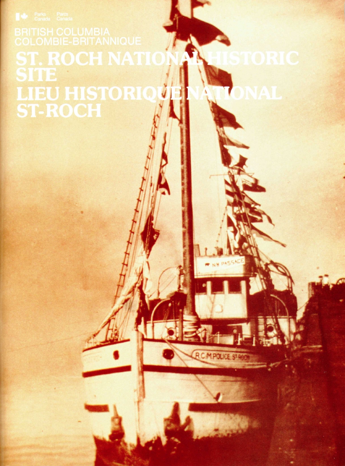# ST. ROCH NATI **LIEU HISTORIQ<br>ST-ROCH**

**RCMPOUCES**